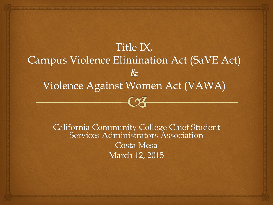

California Community College Chief Student Services Administrators Association Costa Mesa March 12, 2015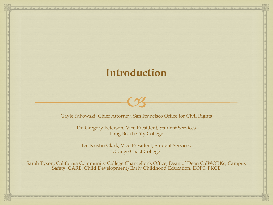## **Introduction**

Gayle Sakowski, Chief Attorney, San Francisco Office for Civil Rights

 $\sim$ 

Dr. Gregory Peterson, Vice President, Student Services Long Beach City College

Dr. Kristin Clark, Vice President, Student Services Orange Coast College

Sarah Tyson, California Community College Chancellor's Office, Dean of Dean CalWORKs, Campus Safety, CARE, Child Development/Early Childhood Education, EOPS, FKCE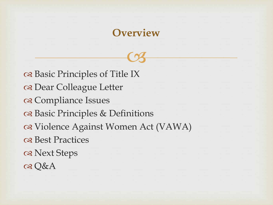## **Overview**

 $C<sub>3</sub>$ 

osasic Principles of Title IX Dear Colleague Letter a Compliance Issues Basic Principles & Definitions Violence Against Women Act (VAWA) os Best Practices Next Steps Q&A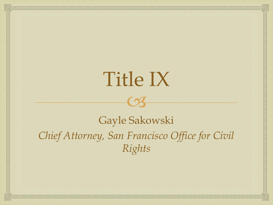# Title IX

 $\sim$ 

# Gayle Sakowski *Chief Attorney, San Francisco Office for Civil Rights*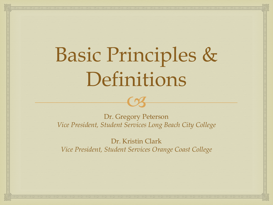# Basic Principles & Definitions

Dr. Gregory Peterson *Vice President, Student Services Long Beach City College*

CS

Dr. Kristin Clark *Vice President, Student Services Orange Coast College*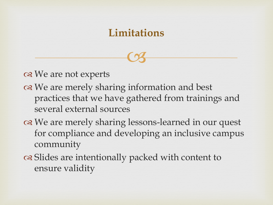## **Limitations**

 $C<sub>3</sub>$ 

os We are not experts

- or We are merely sharing information and best practices that we have gathered from trainings and several external sources
- on We are merely sharing lessons-learned in our quest for compliance and developing an inclusive campus community
- of Slides are intentionally packed with content to ensure validity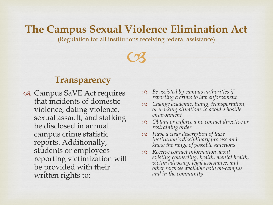(Regulation for all institutions receiving federal assistance)

 $C<sub>3</sub>$ 

#### **Transparency**

- os Campus SaVE Act requires that incidents of domestic violence, dating violence, sexual assault, and stalking be disclosed in annual campus crime statistic reports. Additionally, students or employees reporting victimization will be provided with their written rights to:
- *Be assisted by campus authorities if reporting a crime to law enforcement*
- *Change academic, living, transportation, or working situations to avoid a hostile environment*
- *Obtain or enforce a no contact directive or restraining order*
- *Have a clear description of their institution's disciplinary process and know the range of possible sanctions*
- *Receive contact information about existing counseling, health, mental health, victim advocacy, legal assistance, and other services available both on-campus and in the community*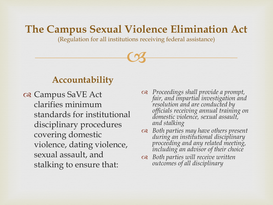(Regulation for all institutions receiving federal assistance)

 $C<sub>3</sub>$ 

#### **Accountability**

 Campus SaVE Act clarifies minimum standards for institutional disciplinary procedures covering domestic violence, dating violence, sexual assault, and stalking to ensure that:

- *Proceedings shall provide a prompt, fair, and impartial investigation and resolution and are conducted by officials receiving annual training on domestic violence, sexual assault, and stalking*
- *Both parties may have others present during an institutional disciplinary proceeding and any related meeting, including an advisor of their choice*
- *Both parties will receive written outcomes of all disciplinary*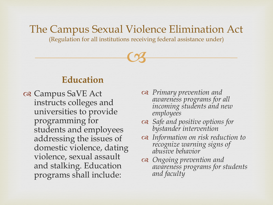(Regulation for all institutions receiving federal assistance under)

 $C<sub>3</sub>$ 

#### **Education**

- Campus SaVE Act instructs colleges and universities to provide programming for students and employees addressing the issues of domestic violence, dating violence, sexual assault and stalking. Education programs shall include:
- *Primary prevention and awareness programs for all incoming students and new employees*
- *Safe and positive options for bystander intervention*
- *Information on risk reduction to recognize warning signs of abusive behavior*
- *Ongoing prevention and awareness programs for students and faculty*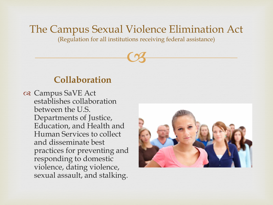(Regulation for all institutions receiving federal assistance)

 $C<sub>3</sub>$ 

#### **Collaboration**

 Campus SaVE Act establishes collaboration between the U.S. Departments of Justice, Education, and Health and Human Services to collect and disseminate best practices for preventing and responding to domestic violence, dating violence, sexual assault, and stalking.

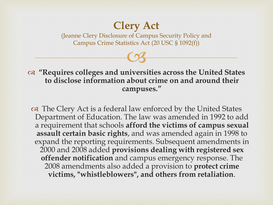# **Clery Act**

 $C<sub>3</sub>$ (Jeanne Clery Disclosure of Campus Security Policy and Campus Crime Statistics Act (20 USC § 1092(f))

 **"Requires colleges and universities across the United States to disclose information about crime on and around their campuses."** 

on The Clery Act is a federal law enforced by the United States Department of Education. The law was amended in 1992 to add a requirement that schools **afford the victims of campus sexual assault certain basic rights**, and was amended again in 1998 to expand the reporting requirements. Subsequent amendments in 2000 and 2008 added **provisions dealing with registered sex offender notification** and campus emergency response. The 2008 amendments also added a provision to **protect crime victims, "whistleblowers", and others from retaliation**.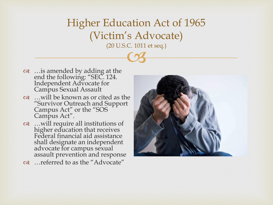$\frac{1}{3}$ Higher Education Act of 1965 (Victim's Advocate) (20 U.S.C. 1011 et seq.)

- …is amended by adding at the end the following: "SEC. 124. Independent Advocate for Campus Sexual Assault
- …will be known as or cited as the "Survivor Outreach and Support Campus Act" or the "SOS Campus Act".
- …will require all institutions of higher education that receives Federal financial aid assistance shall designate an independent advocate for campus sexual assault prevention and response
- …referred to as the "Advocate"

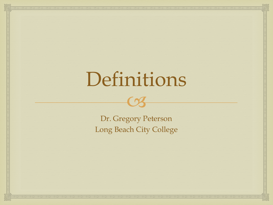# Definitions

 $\sim$ 

Dr. Gregory Peterson Long Beach City College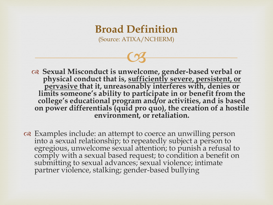$C<sub>3</sub>$ 

 **Sexual Misconduct is unwelcome, gender-based verbal or physical conduct that is, sufficiently severe, persistent, or pervasive that it, unreasonably interferes with, denies or limits someone's ability to participate in or benefit from the college's educational program and/or activities, and is based on power differentials (quid pro quo), the creation of a hostile environment, or retaliation.** 

 Examples include: an attempt to coerce an unwilling person into a sexual relationship; to repeatedly subject a person to egregious, unwelcome sexual attention; to punish a refusal to comply with a sexual based request; to condition a benefit on submitting to sexual advances; sexual violence; intimate partner violence, stalking; gender-based bullying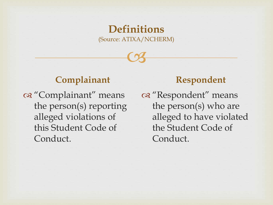$C<sub>3</sub>$ 

## **Complainant**

a "Complainant" means the person(s) reporting alleged violations of this Student Code of Conduct.

#### **Respondent**

os "Respondent" means the person(s) who are alleged to have violated the Student Code of Conduct.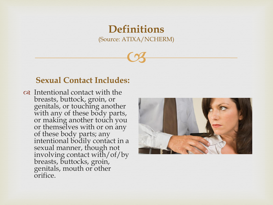$C<sub>3</sub>$ 

#### **Sexual Contact Includes:**

 Intentional contact with the breasts, buttock, groin, or genitals, or touching another with any of these body parts, or making another touch you or themselves with or on any of these body parts; any intentional bodily contact in a sexual manner, though not involving contact with/of/by breasts, buttocks, groin, genitals, mouth or other orifice.

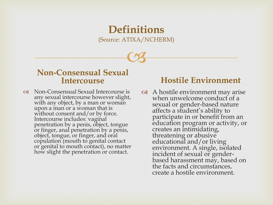$C<sub>3</sub>$ 

#### **Non-Consensual Sexual Intercourse**

 Non-Consensual Sexual Intercourse is any sexual intercourse however slight, with any object, by a man or woman upon a man or a woman that is without consent and/or by force. Intercourse includes: vaginal penetration by a penis, object, tongue or finger, anal penetration by a penis, object, tongue, or finger, and oral copulation (mouth to genital contact or genital to mouth contact), no matter how slight the penetration or contact.

#### **Hostile Environment**

 A hostile environment may arise when unwelcome conduct of a sexual or gender-based nature affects a student's ability to participate in or benefit from an education program or activity, or creates an intimidating, threatening or abusive educational and/or living environment. A single, isolated incident of sexual or genderbased harassment may, based on the facts and circumstances, create a hostile environment.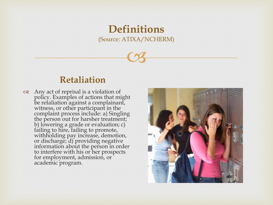$C<sub>3</sub>$ 

#### **Retaliation**

 $\alpha$  Any act of reprisal is a violation of policy. Examples of actions that might be retaliation against a complainant, witness, or other participant in the complaint process include: a) Singling the person out for harsher treatment; b) lowering a grade or evaluation; c) failing to hire, failing to promote, withholding pay increase, demotion, or discharge; d) providing negative information about the person in order to interfere with his or her prospects for employment, admission, or academic program.

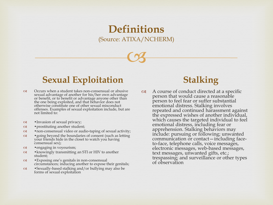$C<sub>3</sub>$ 

#### **Sexual Exploitation**

- Occurs when a student takes non-consensual or abusive sexual advantage of another for his/her own advantage or benefit, or to benefit or advantage anyone other than the one being exploited, and that behavior does not otherwise constitute one of other sexual misconduct offenses. Examples of sexual exploitation include, but are not limited to:
- •Invasion of sexual privacy;
- •prostituting another student;
- •non-consensual video or audio-taping of sexual activity;
- •going beyond the boundaries of consent (such as letting your friends hide in the closet to watch you having consensual sex);
- •engaging in voyeurism;
- •knowingly transmitting an STI or HIV to another student;
- •Exposing one's genitals in non-consensual circumstances; inducing another to expose their genitals;
- •Sexually-based stalking and/or bullying may also be forms of sexual exploitation

#### **Stalking**

 A course of conduct directed at a specific person that would cause a reasonable person to feel fear or suffer substantial emotional distress. Stalking involves repeated and continued harassment against the expressed wishes of another individual, which causes the targeted individual to feel emotional distress, including fear or apprehension. Stalking behaviors may include: pursuing or following; unwanted communication or contact—including faceto-face, telephone calls, voice messages, electronic messages, web-based messages, text messages, unwanted gifts, etc.; trespassing; and surveillance or other types of observation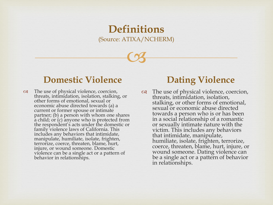$C<sub>3</sub>$ 

#### **Domestic Violence**

 $\infty$  The use of physical violence, coercion, threats, intimidation, isolation, stalking, or other forms of emotional, sexual or economic abuse directed towards (a) a current or former spouse or intimate partner; (b) a person with whom one shares a child; or (c) anyone who is protected from the respondent's acts under the domestic or family violence laws of California. This includes any behaviors that intimidate, manipulate, humiliate, isolate, frighten, terrorize, coerce, threaten, blame, hurt, injure, or wound someone. Domestic violence can be a single act or a pattern of behavior in relationships.

## **Dating Violence**

 The use of physical violence, coercion, threats, intimidation, isolation, stalking, or other forms of emotional, sexual or economic abuse directed towards a person who is or has been in a social relationship of a romantic or sexually intimate nature with the victim. This includes any behaviors that intimidate, manipulate, humiliate, isolate, frighten, terrorize, coerce, threaten, blame, hurt, injure, or wound someone. Dating violence can be a single act or a pattern of behavior in relationships.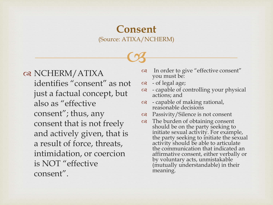#### **Consent** (Source: ATIXA/NCHERM)

 $C<sub>3</sub>$ 

or NCHERM/ATIXA identifies "consent" as not just a factual concept, but also as "effective consent"; thus, any consent that is not freely and actively given, that is a result of force, threats, intimidation, or coercion is NOT "effective consent".

- In order to give "effective consent" you must be:
- $\infty$  of legal age;
- $\infty$  capable of controlling your physical actions; and
- $\infty$  capable of making rational, reasonable decisions
- Passivity/Silence is not consent
- The burden of obtaining consent should be on the party seeking to initiate sexual activity. For example, the party seeking to initiate the sexual activity should be able to articulate the communication that indicated an affirmative consent, either verbally or by voluntary acts, unmistakable (mutually understandable) in their meaning.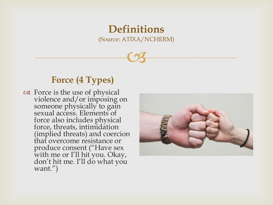$C<sub>3</sub>$ 

#### **Force (4 Types)**

as Force is the use of physical violence and/or imposing on someone physically to gain sexual access. Elements of force also includes physical force, threats, intimidation (implied threats) and coercion that overcome resistance or produce consent ("Have sex with me or I'll hit you. Okay, don't hit me. I'll do what you want.")

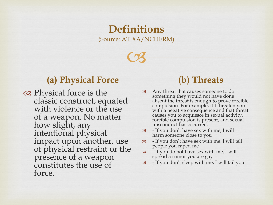$C<sub>3</sub>$ 

#### **(a) Physical Force**

on Physical force is the classic construct, equated with violence or the use of a weapon. No matter how slight, any intentional physical impact upon another, use of physical restraint or the presence of a weapon constitutes the use of force.

## **(b) Threats**

- Any threat that causes someone to do something they would not have done absent the threat is enough to prove forcible compulsion. For example, if I threaten you with a negative consequence and that threat causes you to acquiesce in sexual activity, forcible compulsion is present, and sexual misconduct has occurred.
- $\infty$  If you don't have sex with me, I will harm someone close to you
- $\infty$  If you don't have sex with me, I will tell people you raped me
- $\infty$  If you do not have sex with me, I will spread a rumor you are gay
- $\infty$  If you don't sleep with me, I will fail you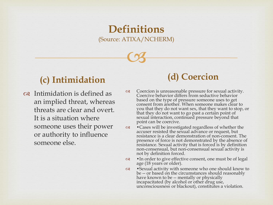$C<sub>3</sub>$ 

#### **(c) Intimidation**

 Intimidation is defined as an implied threat, whereas threats are clear and overt. It is a situation where someone uses their power or authority to influence someone else.

## **(d) Coercion**

 $\infty$  Coercion is unreasonable pressure for sexual activity. Coercive behavior differs from seductive behavior based on the type of pressure someone uses to get consent from another. When someone makes clear to you that they do not want sex, that they want to stop, or that they do not want to go past a certain point of sexual interaction, continued pressure beyond that point can be coercive.

 $\infty$  • Cases will be investigated regardless of whether the accuser resisted the sexual advance or request, but resistance is a clear demonstration of non-consent. The presence of force is not demonstrated by the absence of resistance. Sexual activity that is forced is by definition non-consensual, but non-consensual sexual activity is not by definition forced.

- $\infty$  •In order to give effective consent, one must be of legal age (18 years or older).
- •Sexual activity with someone who one should know to be -- or based on the circumstances should reasonably have known to be -- mentally or physically incapacitated (by alcohol or other drug use, unconsciousness or blackout), constitutes a violation.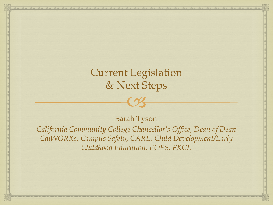# CS Current Legislation & Next Steps

#### Sarah Tyson

*California Community College Chancellor's Office, Dean of Dean CalWORKs, Campus Safety, CARE, Child Development/Early Childhood Education, EOPS, FKCE*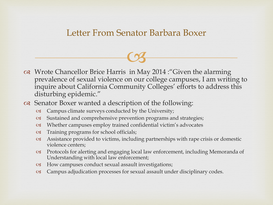#### Letter From Senator Barbara Boxer

 $C<sub>3</sub>$ 

- or Wrote Chancellor Brice Harris in May 2014 : "Given the alarming prevalence of sexual violence on our college campuses, I am writing to inquire about California Community Colleges' efforts to address this disturbing epidemic."
- Senator Boxer wanted a description of the following:
	- Campus climate surveys conducted by the University;
	- Sustained and comprehensive prevention programs and strategies;
	- Whether campuses employ trained confidential victim's advocates
	- Training programs for school officials;
	- $\alpha$  Assistance provided to victims, including partnerships with rape crisis or domestic violence centers;
	- Protocols for alerting and engaging local law enforcement, including Memoranda of Understanding with local law enforcement;
	- How campuses conduct sexual assault investigations;
	- Campus adjudication processes for sexual assault under disciplinary codes.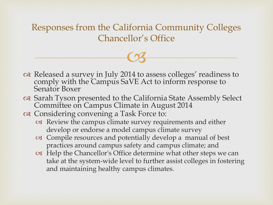Responses from the California Community Colleges Chancellor's Office

 $C<sub>3</sub>$ 

- Released a survey in July 2014 to assess colleges' readiness to comply with the Campus SaVE Act to inform response to Senator Boxer
- Sarah Tyson presented to the California State Assembly Select Committee on Campus Climate in August 2014
- Considering convening a Task Force to:
	- Review the campus climate survey requirements and either develop or endorse a model campus climate survey
	- Compile resources and potentially develop a manual of best practices around campus safety and campus climate; and
	- Help the Chancellor's Office determine what other steps we can take at the system-wide level to further assist colleges in fostering and maintaining healthy campus climates.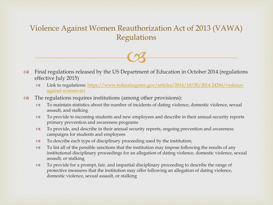#### Violence Against Women Reauthorization Act of 2013 (VAWA) Regulations

- $\heartsuit$
- $\infty$  Final regulations released by the US Department of Education in October 2014 (regulations effective July 2015)
	- [Link to regulations: https://www.federalregister.gov/articles/2014/10/20/2014-24284/violence](https://www.federalregister.gov/articles/2014/10/20/2014-24284/violence-against-women-act)against-women-act
- $\infty$  The regulations requires institutions (among other provisions):
	- To maintain statistics about the number of incidents of dating violence, domestic violence, sexual assault, and stalking
	- To provide to incoming students and new employees and describe in their annual security reports primary prevention and awareness programs
	- To provide, and describe in their annual security reports, ongoing prevention and awareness campaigns for students and employees
	- To describe each type of disciplinary proceeding used by the institution;
	- $\infty$  To list all of the possible sanctions that the institution may impose following the results of any institutional disciplinary proceedings for an allegation of dating violence, domestic violence, sexual assault, or stalking
	- To provide for a prompt, fair, and impartial disciplinary proceeding to describe the range of protective measures that the institution may offer following an allegation of dating violence, domestic violence, sexual assault, or stalking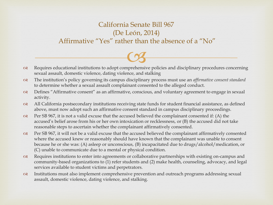#### California Senate Bill 967 (De León, 2014) Affirmative "Yes" rather than the absence of a "No"

- Requires educational institutions to adopt comprehensive policies and disciplinary procedures concerning  $C<sub>3</sub>$ sexual assault, domestic violence, dating violence, and stalking
- The institution's policy governing its campus disciplinary process must use an *affirmative consent standard*  to determine whether a sexual assault complainant consented to the alleged conduct.
- Defines "Affirmative consent" as an affirmative, conscious, and voluntary agreement to engage in sexual activity.
- All California postsecondary institutions receiving state funds for student financial assistance, as defined above, must now adopt such an affirmative consent standard in campus disciplinary proceedings.
- $\infty$  Per SB 967, it is not a valid excuse that the accused believed the complainant consented if: (A) the accused's belief arose from his or her own intoxication or recklessness, or (B) the accused did not take reasonable steps to ascertain whether the complainant affirmatively consented.
- Per SB 967, it will not be a valid excuse that the accused believed the complainant affirmatively consented where the accused knew or reasonably should have known that the complainant was unable to consent because he or she was: (A) asleep or unconscious, (B) incapacitated due to drugs/alcohol/medication, or (C) unable to communicate due to a mental or physical condition.
- $\infty$  Requires institutions to enter into agreements or collaborative partnerships with existing on-campus and community-based organizations to (1) refer students and (2) make health, counseling, advocacy, and legal services available to student victims and perpetrators.
- Institutions must also implement comprehensive prevention and outreach programs addressing sexual assault, domestic violence, dating violence, and stalking.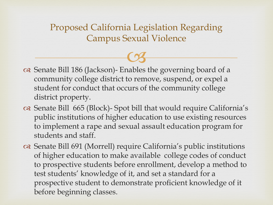Proposed California Legislation Regarding Campus Sexual Violence

- Senate Bill 186 (Jackson)- Enables the governing board of a  $\heartsuit$ community college district to remove, suspend, or expel a student for conduct that occurs of the community college district property.
- Senate Bill 665 (Block)- Spot bill that would require California's public institutions of higher education to use existing resources to implement a rape and sexual assault education program for students and staff.
- Senate Bill 691 (Morrell) require California's public institutions of higher education to make available college codes of conduct to prospective students before enrollment, develop a method to test students' knowledge of it, and set a standard for a prospective student to demonstrate proficient knowledge of it before beginning classes.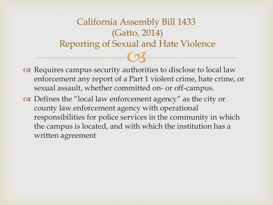# $\overline{\text{C3}}$ California Assembly Bill 1433 (Gatto, 2014) Reporting of Sexual and Hate Violence

- o Requires campus security authorities to disclose to local law enforcement any report of a Part 1 violent crime, hate crime, or sexual assault, whether committed on- or off-campus.
- Defines the "local law enforcement agency" as the city or county law enforcement agency with operational responsibilities for police services in the community in which the campus is located, and with which the institution has a written agreement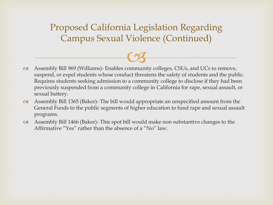Proposed California Legislation Regarding Campus Sexual Violence (Continued)

- Assembly Bill 969 (Williams)- Enables community colleges, CSUs, and UCs to remove,  $C<sub>3</sub>$ suspend, or expel students whose conduct threatens the safety of students and the public. Requires students seeking admission to a community college to disclose if they had been previously suspended from a community college in California for rape, sexual assault, or sexual battery.
- Assembly Bill 1365 (Baker)- The bill would appropriate an unspecified amount from the General Funds to the public segments of higher education to fund rape and sexual assault programs.
- $\alpha$  Assembly Bill 1466 (Baker)- This spot bill would make non substantive changes to the Affirmative "Yes" rather than the absence of a "No" law.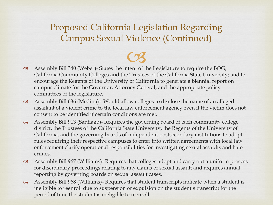Proposed California Legislation Regarding Campus Sexual Violence (Continued)

- Assembly Bill 340 (Weber)- States the intent of the Legislature to require the BOG,  $C<sub>3</sub>$ California Community Colleges and the Trustees of the California State University; and to encourage the Regents of the University of California to generate a biennial report on campus climate for the Governor, Attorney General, and the appropriate policy committees of the legislature.
- Assembly Bill 636 (Medina)- Would allow colleges to disclose the name of an alleged assailant of a violent crime to the local law enforcement agency even if the victim does not consent to be identified if certain conditions are met.
- Assembly Bill 913 (Santiago)- Requires the governing board of each community college district, the Trustees of the California State University, the Regents of the University of California, and the governing boards of independent postsecondary institutions to adopt rules requiring their respective campuses to enter into written agreements with local law enforcement clarify operational responsibilities for investigating sexual assaults and hate crimes.
- Assembly Bill 967 (Williams)- Requires that colleges adopt and carry out a uniform process for disciplinary proceedings relating to any claims of sexual assault and requires annual reporting by governing boards on sexual assault cases.
- $\alpha$  Assembly Bill 968 (Williams)- Requires that student transcripts indicate when a student is ineligible to reenroll due to suspension or expulsion on the student's transcript for the period of time the student is ineligible to reenroll.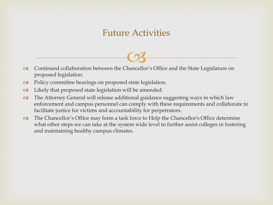#### Future Activities

- Continued collaboration between the Chancellor's Office and the State Legislature on  $\overline{\text{C3}}$ proposed legislation.
- Policy committee hearings on proposed state legislation.
- $\alpha$  Likely that proposed state legislation will be amended.
- The Attorney General will release additional guidance suggesting ways in which law enforcement and campus personnel can comply with these requirements and collaborate to facilitate justice for victims and accountability for perpetrators.
- The Chancellor's Office may form a task force to Help the Chancellor's Office determine what other steps we can take at the system wide level to further assist colleges in fostering and maintaining healthy campus climates.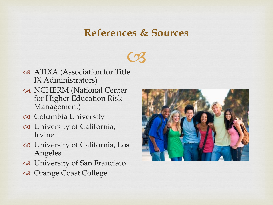## **References & Sources**

 $\heartsuit$ 

- ATIXA (Association for Title IX Administrators)
- NCHERM (National Center for Higher Education Risk Management)
- Columbia University
- University of California, Irvine
- University of California, Los Angeles
- University of San Francisco
- Orange Coast College

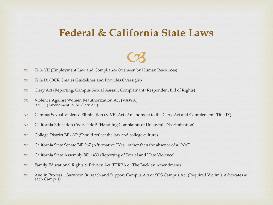## **Federal & California State Laws**

 $\heartsuit$ 

- Title VII (Employment Law and Compliance Overseen by Human Resources)
- Title IX (OCR Creates Guidelines and Provides Oversight)
- Clery Act (Reporting; Campus Sexual Assault Complainant/Respondent Bill of Rights)
- Violence Against Women Reauthorization Act (VAWA) (Amendment to the Clery Act)
- Campus Sexual Violence Elimination (SaVE) Act (Amendment to the Clery Act and Complements Title IX)
- California Education Code, Title 5 (Handling Complaints of Unlawful Discrimination)
- $\infty$  College District BP/AP (Should reflect the law and college culture)
- California State Senate Bill 967 (Affirmative "Yes" rather than the absence of a "No")
- California State Assembly Bill 1433 (Reporting of Sexual and Hate Violence)
- Family Educational Rights & Privacy Act (FERPA or The Buckley Amendment)
- And in Process…Survivor Outreach and Support Campus Act or SOS Campus Act (Required Victim's Advocates at each Campus)